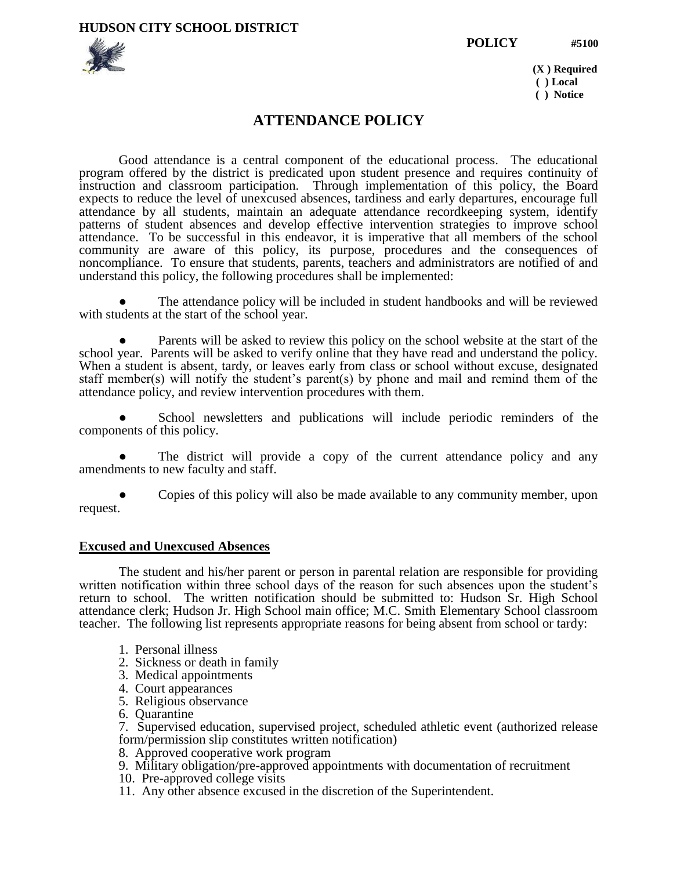**HUDSON CITY SCHOOL DISTRICT** 





 **(X ) Required ( ) Local ( ) Notice** 

# **ATTENDANCE POLICY**

Good attendance is a central component of the educational process. The educational program offered by the district is predicated upon student presence and requires continuity of instruction and classroom participation. Through implementation of this policy, the Board expects to reduce the level of unexcused absences, tardiness and early departures, encourage full attendance by all students, maintain an adequate attendance recordkeeping system, identify patterns of student absences and develop effective intervention strategies to improve school attendance. To be successful in this endeavor, it is imperative that all members of the school community are aware of this policy, its purpose, procedures and the consequences of noncompliance. To ensure that students, parents, teachers and administrators are notified of and understand this policy, the following procedures shall be implemented:

The attendance policy will be included in student handbooks and will be reviewed with students at the start of the school year.

Parents will be asked to review this policy on the school website at the start of the school year. Parents will be asked to verify online that they have read and understand the policy. When a student is absent, tardy, or leaves early from class or school without excuse, designated staff member(s) will notify the student's parent(s) by phone and mail and remind them of the attendance policy, and review intervention procedures with them.

School newsletters and publications will include periodic reminders of the components of this policy.

The district will provide a copy of the current attendance policy and any amendments to new faculty and staff.

Copies of this policy will also be made available to any community member, upon request.

#### **Excused and Unexcused Absences**

The student and his/her parent or person in parental relation are responsible for providing written notification within three school days of the reason for such absences upon the student's return to school. The written notification should be submitted to: Hudson Sr. High School attendance clerk; Hudson Jr. High School main office; M.C. Smith Elementary School classroom teacher. The following list represents appropriate reasons for being absent from school or tardy:

- 1. Personal illness
- 2. Sickness or death in family
- 3. Medical appointments
- 4. Court appearances
- 5. Religious observance
- 6. Quarantine
- 7. Supervised education, supervised project, scheduled athletic event (authorized release form/permission slip constitutes written notification)
- 8. Approved cooperative work program
- 9. Military obligation/pre-approved appointments with documentation of recruitment
- 10. Pre-approved college visits
- 11. Any other absence excused in the discretion of the Superintendent.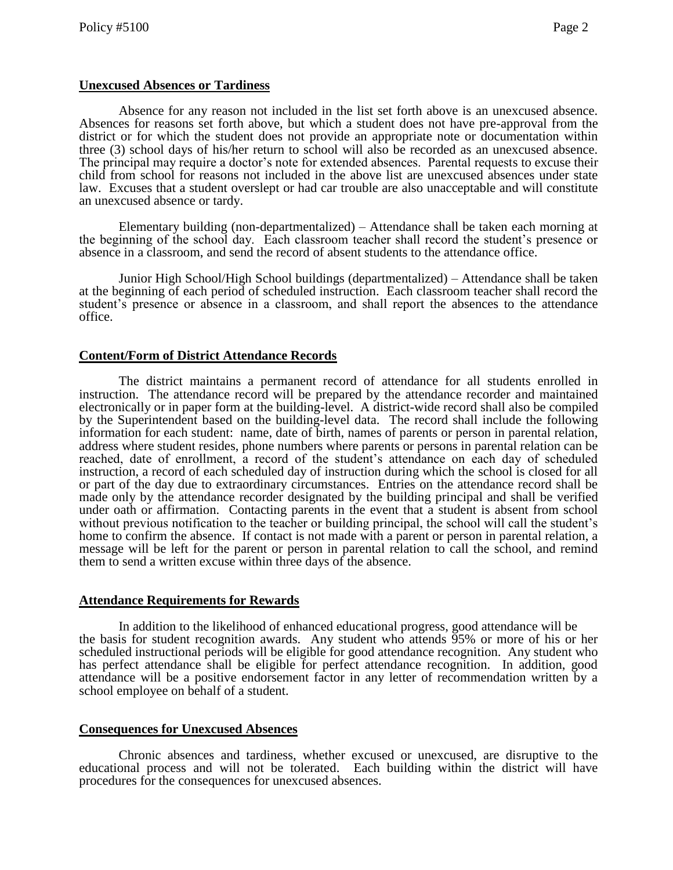### **Unexcused Absences or Tardiness**

Absence for any reason not included in the list set forth above is an unexcused absence. Absences for reasons set forth above, but which a student does not have pre-approval from the district or for which the student does not provide an appropriate note or documentation within three (3) school days of his/her return to school will also be recorded as an unexcused absence. The principal may require a doctor's note for extended absences. Parental requests to excuse their child from school for reasons not included in the above list are unexcused absences under state law. Excuses that a student overslept or had car trouble are also unacceptable and will constitute an unexcused absence or tardy.

Elementary building (non-departmentalized) – Attendance shall be taken each morning at the beginning of the school day. Each classroom teacher shall record the student's presence or absence in a classroom, and send the record of absent students to the attendance office.

Junior High School/High School buildings (departmentalized) – Attendance shall be taken at the beginning of each period of scheduled instruction. Each classroom teacher shall record the student's presence or absence in a classroom, and shall report the absences to the attendance office.

### **Content/Form of District Attendance Records**

The district maintains a permanent record of attendance for all students enrolled in instruction. The attendance record will be prepared by the attendance recorder and maintained electronically or in paper form at the building-level. A district-wide record shall also be compiled by the Superintendent based on the building-level data. The record shall include the following information for each student: name, date of birth, names of parents or person in parental relation, address where student resides, phone numbers where parents or persons in parental relation can be reached, date of enrollment, a record of the student's attendance on each day of scheduled instruction, a record of each scheduled day of instruction during which the school is closed for all or part of the day due to extraordinary circumstances. Entries on the attendance record shall be made only by the attendance recorder designated by the building principal and shall be verified under oath or affirmation. Contacting parents in the event that a student is absent from school without previous notification to the teacher or building principal, the school will call the student's home to confirm the absence. If contact is not made with a parent or person in parental relation, a message will be left for the parent or person in parental relation to call the school, and remind them to send a written excuse within three days of the absence.

# **Attendance Requirements for Rewards**

In addition to the likelihood of enhanced educational progress, good attendance will be the basis for student recognition awards. Any student who attends 95% or more of his or her scheduled instructional periods will be eligible for good attendance recognition. Any student who has perfect attendance shall be eligible for perfect attendance recognition. In addition, good attendance will be a positive endorsement factor in any letter of recommendation written by a school employee on behalf of a student.

# **Consequences for Unexcused Absences**

Chronic absences and tardiness, whether excused or unexcused, are disruptive to the educational process and will not be tolerated. Each building within the district will have procedures for the consequences for unexcused absences.